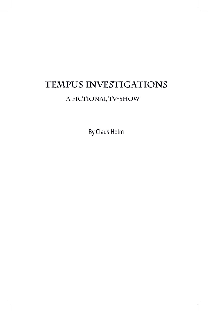## **TEMPUS INVESTIGATIONS**

### **A Fictional TV-show**

By Claus Holm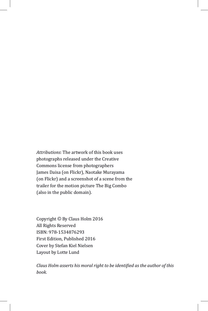*Attributions*: The artwork of this book uses photographs released under the Creative Commons license from photographers James Daisa (on Flickr), Naotake Murayama (on Flickr) and a screenshot of a scene from the trailer for the motion picture The Big Combo (also in the public domain).

Copyright © By Claus Holm 2016 All Rights Reserved ISBN: 978-1534876293 First Edition, Published 2016 Cover by Stefan Kiel Nielsen Layout by Lotte Lund

*Claus Holm asserts his moral right to be identified as the author of this book.*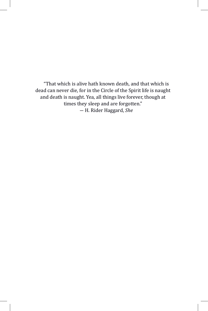"That which is alive hath known death, and that which is dead can never die, for in the Circle of the Spirit life is naught and death is naught. Yea, all things live forever, though at times they sleep and are forgotten." ― H. Rider Haggard, *She*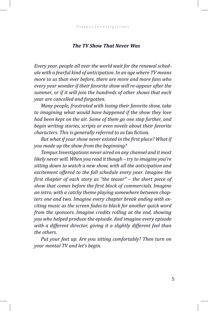#### *The TV Show That Never Was*

*Every year, people all over the world wait for the renewal schedule with a fearful kind of anticipation. In an age where TV means more to us than ever before, there are more and more fans who every year wonder if their favorite show will re-appear after the summer, or if it will join the hundreds of other shows that each year are cancelled and forgotten.*

*Many people, frustrated with losing their favorite show, take to imagining what would have happened if the show they love had been kept on the air. Some of them go one step further, and begin writing stories, scripts or even novels about their favorite characters. This is generally referred to as* fan fiction*.*

*But what if your show never existed in the first place? What if you made up the show from the beginning?*

*Tempus Investigations never aired on any channel and it most likely never will. When you read it though – try to imagine you're sitting down to watch a new show, with all the anticipation and excitement offered to the fall schedule every year. Imagine the first chapter of each story as "the teaser" – the short piece of show that comes before the first block of commercials. Imagine an intro, with a catchy theme playing somewhere between chapters one and two. Imagine every chapter break ending with exciting music as the screen fades to black for another quick word from the sponsors. Imagine credits rolling at the end, showing you who helped produce the episode. And imagine every episode with a different director, giving it a slightly different feel than the others.*

*Put your feet up. Are you sitting comfortably? Then turn on your mental TV and let's begin.*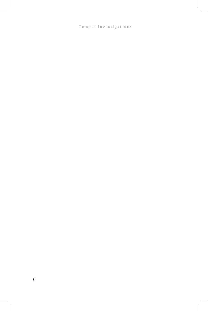Tempus Investigations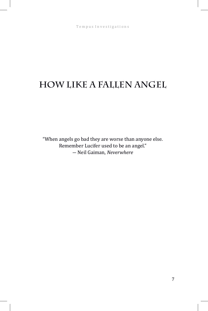## **How Like A Fallen Angel**

"When angels go bad they are worse than anyone else. Remember Lucifer used to be an angel." ― Neil Gaiman, *Neverwhere*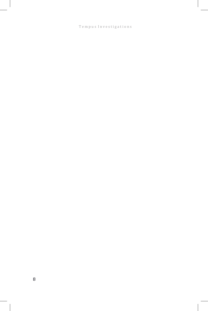Tempus Investigations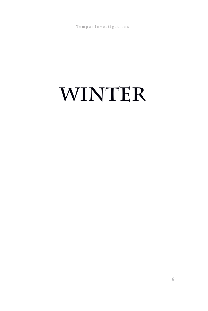Tempus Investigations

# WINTER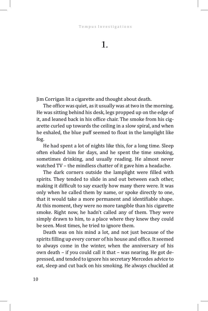Jim Corrigan lit a cigarette and thought about death.

The office was quiet, as it usually was at two in the morning. He was sitting behind his desk, legs propped up on the edge of it, and leaned back in his office chair. The smoke from his cigarette curled up towards the ceiling in a slow spiral, and when he exhaled, the blue puff seemed to float in the lamplight like fog.

He had spent a lot of nights like this, for a long time. Sleep often eluded him for days, and he spent the time smoking, sometimes drinking, and usually reading. He almost never watched TV – the mindless chatter of it gave him a headache.

The dark corners outside the lamplight were filled with spirits. They tended to slide in and out between each other, making it difficult to say exactly how many there were. It was only when he called them by name, or spoke directly to one, that it would take a more permanent and identifiable shape. At this moment, they were no more tangible than his cigarette smoke. Right now, he hadn't called any of them. They were simply drawn to him, to a place where they knew they could be seen. Most times, he tried to ignore them.

Death was on his mind a lot, and not just because of the spirits filling up every corner of his house and office. It seemed to always come in the winter, when the anniversary of his own death – if you could call it that – was nearing. He got depressed, and tended to ignore his secretary Mercedes advice to eat, sleep and cut back on his smoking. He always chuckled at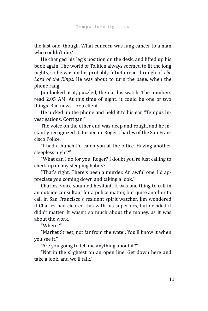the last one, though. What concern was lung cancer to a man who couldn't die?

He changed his leg's position on the desk, and lifted up his book again. The world of Tolkien always seemed to fit the long nights, so he was on his probably fiftieth read through of *The Lord of the Rings*. He was about to turn the page, when the phone rang.

Jim looked at it, puzzled, then at his watch. The numbers read 2.05 AM. At this time of night, it could be one of two things. Bad news…or a client.

He picked up the phone and held it to his ear. "Tempus Investigations, Corrigan."

The voice on the other end was deep and rough, and he instantly recognized it. Inspector Roger Charles of the San Francisco Police.

"I had a hunch I'd catch you at the office. Having another sleepless night?"

"What can I do for you, Roger? I doubt you're just calling to check up on my sleeping habits?"

"That's right. There's been a murder. An awful one. I'd appreciate you coming down and taking a look."

Charles' voice sounded hesitant. It was one thing to call in an outside consultant for a police matter, but quite another to call in San Francisco's resident spirit watcher. Jim wondered if Charles had cleared this with his superiors, but decided it didn't matter. It wasn't so much about the money, as it was about the work.

"Where?"

"Market Street, not far from the water. You'll know it when you see it."

"Are you going to tell me anything about it?"

"Not in the slightest on an open line. Get down here and take a look, and we'll talk."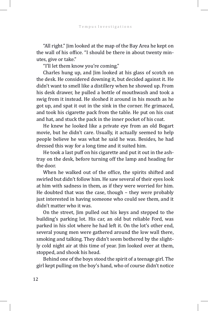"All right." Jim looked at the map of the Bay Area he kept on the wall of his office. "I should be there in about twenty minutes, give or take."

"I'll let them know you're coming."

Charles hung up, and Jim looked at his glass of scotch on the desk. He considered downing it, but decided against it. He didn't want to smell like a distillery when he showed up. From his desk drawer, he pulled a bottle of mouthwash and took a swig from it instead. He sloshed it around in his mouth as he got up, and spat it out in the sink in the corner. He grimaced, and took his cigarette pack from the table. He put on his coat and hat, and stuck the pack in the inner pocket of his coat.

He knew he looked like a private eye from an old Bogart movie, but he didn't care. Usually, it actually seemed to help people believe he was what he said he was. Besides, he had dressed this way for a long time and it suited him.

He took a last puff on his cigarette and put it out in the ashtray on the desk, before turning off the lamp and heading for the door.

When he walked out of the office, the spirits shifted and swirled but didn't follow him. He saw several of their eyes look at him with sadness in them, as if they were worried for him. He doubted that was the case, though – they were probably just interested in having someone who could see them, and it didn't matter who it was.

On the street, Jim pulled out his keys and stepped to the building's parking lot. His car, an old but reliable Ford, was parked in his slot where he had left it. On the lot's other end, several young men were gathered around the low wall there, smoking and talking. They didn't seem bothered by the slightly cold night air at this time of year. Jim looked over at them, stopped, and shook his head.

Behind one of the boys stood the spirit of a teenage girl. The girl kept pulling on the boy's hand, who of course didn't notice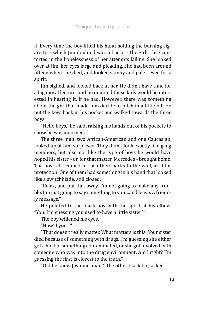it. Every time the boy lifted his hand holding the burning cigarette – which Jim doubted was tobacco – the girl's face contorted in the hopelessness of her attempts failing. She looked over at Jim, her eyes large and pleading. She had been around fifteen when she died, and looked skinny and pale - even for a spirit.

Jim sighed, and looked back at her. He didn't have time for a big moral lecture, and he doubted these kids would be interested in hearing it, if he had. However, there was something about the girl that made him decide to pitch in a little bit. He put the keys back in his pocket and walked towards the three boys.

"Hello boys," he said, raising his hands out of his pockets to show he was unarmed.

The three men, two African-American and one Caucasian, looked up at him surprised. They didn't look exactly like gang members, but also not like the type of boys he would have hoped his sister - or, for that matter, Mercedes - brought home. The boys all seemed to turn their backs to the wall, as if for protection. One of them had something in his hand that looked like a switchblade, still closed.

"Relax, and put that away. I'm not going to make any trouble. I'm just going to say something to you…and leave. A friendly message."

He pointed to the black boy with the spirit at his elbow. "You. I'm guessing you used to have a little sister?"

The boy widened his eyes.

"How'd you…"

"That doesn't really matter. What matters is this: Your sister died because of something with drugs. I'm guessing she either got a hold of something contaminated, or she got involved with someone who was into the drug environment. Am I right? I'm guessing the first is closest to the truth."

"Did he know Jasmine, man?" the other black boy asked.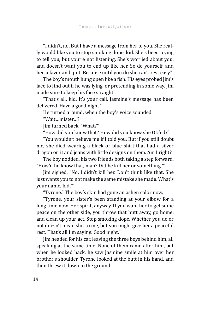"I didn't, no. But I have a message from her to you. She really would like you to stop smoking dope, kid. She's been trying to tell you, but you're not listening. She's worried about you, and doesn't want you to end up like her. So do yourself, and her, a favor and quit. Because until you do she can't rest easy."

The boy's mouth hung open like a fish. His eyes probed Jim's face to find out if he was lying, or pretending in some way. Jim made sure to keep his face straight.

"That's all, kid. It's your call. Jasmine's message has been delivered. Have a good night."

He turned around, when the boy's voice sounded.

"Wait…mister…?"

Jim turned back. "What?"

"How did you know that? How did you know she OD'ed?"

"You wouldn't believe me if I told you. But if you still doubt me, she died wearing a black or blue shirt that had a silver dragon on it and jeans with little designs on them. Am I right?"

The boy nodded, his two friends both taking a step forward. "How'd he know that, man? Did he kill her or something?"

Jim sighed. "No, I didn't kill her. Don't think like that. She just wants you to not make the same mistake she made. What's your name, kid?"

"Tyrone." The boy's skin had gone an ashen color now.

"Tyrone, your sister's been standing at your elbow for a long time now. Her spirit, anyway. If you want her to get some peace on the other side, you throw that butt away, go home, and clean up your act. Stop smoking dope. Whether you do or not doesn't mean shit to me, but you might give her a peaceful rest. That's all I'm saying. Good night."

Jim headed for his car, leaving the three boys behind him, all speaking at the same time. None of them came after him, but when he looked back, he saw Jasmine smile at him over her brother's shoulder. Tyrone looked at the butt in his hand, and then threw it down to the ground.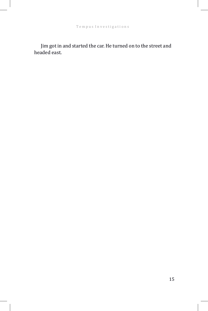Jim got in and started the car. He turned on to the street and headed east.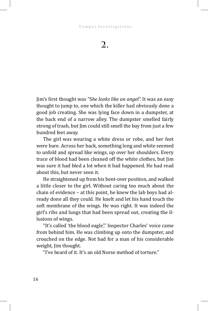Jim's first thought was "S*he looks like an angel".* It was an easy thought to jump to, one which the killer had obviously done a good job creating. She was lying face down in a dumpster, at the back end of a narrow alley. The dumpster smelled fairly strong of trash, but Jim could still smell the bay from just a few hundred feet away.

The girl was wearing a white dress or robe, and her feet were bare. Across her back, something long and white seemed to unfold and spread like wings, up over her shoulders. Every trace of blood had been cleaned off the white clothes, but Jim was sure it had bled a lot when it had happened. He had read about this, but never seen it.

He straightened up from his bent-over position, and walked a little closer to the girl. Without caring too much about the chain of evidence – at this point, he knew the lab boys had already done all they could. He knelt and let his hand touch the soft membrane of the wings. He was right. It was indeed the girl's ribs and lungs that had been spread out, creating the illusions of wings.

"It's called 'the blood eagle'," Inspector Charles' voice came from behind him. He was climbing up onto the dumpster, and crouched on the edge. Not bad for a man of his considerable weight, Jim thought.

"I've heard of it. It's an old Norse method of torture."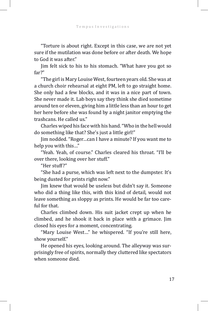"Torture is about right. Except in this case, we are not yet sure if the mutilation was done before or after death. We hope to God it was after."

Jim felt sick to his to his stomach. "What have you got so far?"

"The girl is Mary Louise West, fourteen years old. She was at a church choir rehearsal at eight PM, left to go straight home. She only had a few blocks, and it was in a nice part of town. She never made it. Lab boys say they think she died sometime around ten or eleven, giving him a little less than an hour to get her here before she was found by a night janitor emptying the trashcans. He called us."

Charles wiped his face with his hand. "Who in the hell would do something like that? She's just a little girl!"

Jim nodded. "Roger…can I have a minute? If you want me to help you with this…"

"Yeah. Yeah, of course." Charles cleared his throat. "I'll be over there, looking over her stuff."

"Her stuff?"

"She had a purse, which was left next to the dumpster. It's being dusted for prints right now."

Jim knew that would be useless but didn't say it. Someone who did a thing like this, with this kind of detail, would not leave something as sloppy as prints. He would be far too careful for that.

Charles climbed down. His suit jacket crept up when he climbed, and he shook it back in place with a grimace. Jim closed his eyes for a moment, concentrating.

"Mary Louise West…" he whispered. "If you're still here, show yourself."

He opened his eyes, looking around. The alleyway was surprisingly free of spirits, normally they cluttered like spectators when someone died.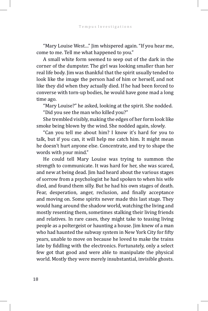"Mary Louise West…" Jim whispered again. "If you hear me, come to me. Tell me what happened to you."

A small white form seemed to seep out of the dark in the corner of the dumpster. The girl was looking smaller than her real life body. Jim was thankful that the spirit usually tended to look like the image the person had of him or herself, and not like they did when they actually died. If he had been forced to converse with torn-up bodies, he would have gone mad a long time ago.

"Mary Louise?" he asked, looking at the spirit. She nodded. "Did you see the man who killed you?"

She trembled visibly, making the edges of her form look like smoke being blown by the wind. She nodded again, slowly.

"Can you tell me about him? I know it's hard for you to talk, but if you can, it will help me catch him. It might mean he doesn't hurt anyone else. Concentrate, and try to shape the words with your mind."

He could tell Mary Louise was trying to summon the strength to communicate. It was hard for her, she was scared, and new at being dead. Jim had heard about the various stages of sorrow from a psychologist he had spoken to when his wife died, and found them silly. But he had his own stages of death. Fear, desperation, anger, reclusion, and finally acceptance and moving on. Some spirits never made this last stage. They would hang around the shadow world, watching the living and mostly resenting them, sometimes stalking their living friends and relatives. In rare cases, they might take to teasing living people as a poltergeist or haunting a house. Jim knew of a man who had haunted the subway system in New York City for fifty years, unable to move on because he loved to make the trains late by fiddling with the electronics. Fortunately, only a select few got that good and were able to manipulate the physical world. Mostly they were merely insubstantial, invisible ghosts.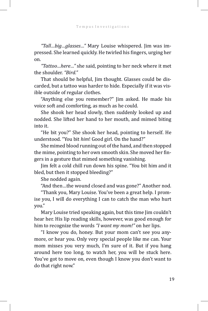*"Tall…big…glasses…"* Mary Louise whispered. Jim was impressed. She learned quickly. He twirled his fingers, urging her on.

*"Tattoo…here…"* she said, pointing to her neck where it met the shoulder. *"Bird."*

That should be helpful, Jim thought. Glasses could be discarded, but a tattoo was harder to hide. Especially if it was visible outside of regular clothes.

"Anything else you remember?" Jim asked. He made his voice soft and comforting, as much as he could.

She shook her head slowly, then suddenly looked up and nodded. She lifted her hand to her mouth, and mimed biting into it.

"He bit you?" She shook her head, pointing to herself. He understood. "You bit *him*! Good girl. On the hand?"

She mimed blood running out of the hand, and then stopped the mime, pointing to her own smooth skin. She moved her fingers in a gesture that mimed something vanishing.

Jim felt a cold chill run down his spine. "You bit him and it bled, but then it stopped bleeding?"

She nodded again.

"And then…the wound closed and was gone?" Another nod.

"Thank you, Mary Louise. You've been a great help. I promise you, I will do everything I can to catch the man who hurt you."

Mary Louise tried speaking again, but this time Jim couldn't hear her. His lip reading skills, however, was good enough for him to recognize the words *"I want my mom!"* on her lips.

"I know you do, honey. But your mom can't see you anymore, or hear you. Only very special people like me can. Your mom misses you very much, I'm sure of it. But if you hang around here too long, to watch her, you will be stuck here. You've got to move on, even though I know you don't want to do that right now."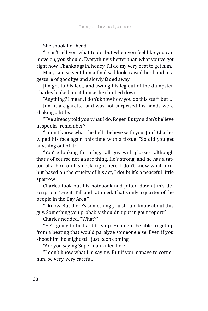She shook her head.

"I can't tell you what to do, but when you feel like you can move on, you should. Everything's better than what you've got right now. Thanks again, honey. I'll do my very best to get him."

Mary Louise sent him a final sad look, raised her hand in a gesture of goodbye and slowly faded away.

Jim got to his feet, and swung his leg out of the dumpster. Charles looked up at him as he climbed down.

"Anything? I mean, I don't know how you do this stuff, but…"

Jim lit a cigarette, and was not surprised his hands were shaking a little.

"I've already told you what I do, Roger. But you don't believe in spooks, remember?"

"I don't know what the hell I believe with you, Jim." Charles wiped his face again, this time with a tissue. "So did you get anything out of it?"

"You're looking for a big, tall guy with glasses, although that's of course not a sure thing. He's strong, and he has a tattoo of a bird on his neck, right here. I don't know what bird, but based on the cruelty of his act, I doubt it's a peaceful little sparrow."

Charles took out his notebook and jotted down Jim's description. "Great. Tall and tattooed. That's only a quarter of the people in the Bay Area."

"I know. But there's something you should know about this guy. Something you probably shouldn't put in your report."

Charles nodded. "What?"

"He's going to be hard to stop. He might be able to get up from a beating that would paralyze someone else. Even if you shoot him, he might still just keep coming."

"Are you saying Superman killed her?"

"I don't know what I'm saying. But if you manage to corner him, be very, very careful."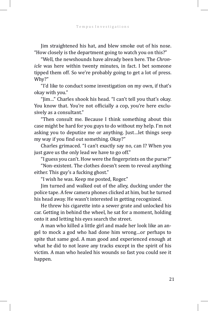Jim straightened his hat, and blew smoke out of his nose. "How closely is the department going to watch you on this?"

"Well, the newshounds have already been here. The *Chronicle* was here within twenty minutes, in fact. I bet someone tipped them off. So we're probably going to get a lot of press. Why?"

"I'd like to conduct some investigation on my own, if that's okay with you."

"Jim…" Charles shook his head. "I can't tell you that's okay. You know that. You're not officially a cop, you're here exclusively as a consultant."

"Then consult me. Because I think something about this case might be hard for you guys to do without my help. I'm not asking you to deputize me or anything. Just…let things seep my way if you find out something. Okay?"

Charles grimaced. "I can't exactly say no, can I? When you just gave us the only lead we have to go off."

"I guess you can't. How were the fingerprints on the purse?"

"Non-existent. The clothes doesn't seem to reveal anything either. This guy's a fucking ghost."

"I wish he was. Keep me posted, Roger."

Jim turned and walked out of the alley, ducking under the police tape. A few camera phones clicked at him, but he turned his head away. He wasn't interested in getting recognized.

He threw his cigarette into a sewer grate and unlocked his car. Getting in behind the wheel, he sat for a moment, holding onto it and letting his eyes search the street.

A man who killed a little girl and made her look like an angel to mock a god who had done him wrong…or perhaps to spite that same god. A man good and experienced enough at what he did to not leave any tracks except in the spirit of his victim. A man who healed his wounds so fast you could see it happen.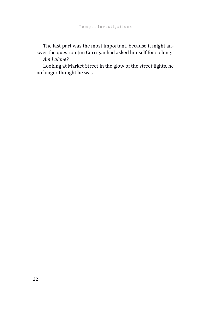The last part was the most important, because it might answer the question Jim Corrigan had asked himself for so long: *Am I alone?* 

Looking at Market Street in the glow of the street lights, he no longer thought he was.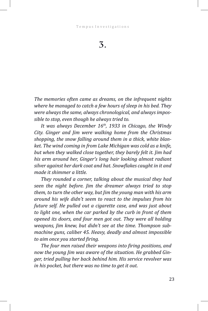*The memories often came as dreams, on the infrequent nights where he managed to catch a few hours of sleep in his bed. They were always the same, always chronological, and always impossible to stop, even though he always tried to.*

*It was always December 16th, 1933 in Chicago, the Windy City. Ginger and Jim were walking home from the Christmas shopping, the snow falling around them in a thick, white blanket. The wind coming in from Lake Michigan was cold as a knife, but when they walked close together, they barely felt it. Jim had his arm around her, Ginger's long hair looking almost radiant silver against her dark coat and hat. Snowflakes caught in it and made it shimmer a little.*

*They rounded a corner, talking about the musical they had seen the night before. Jim the dreamer always tried to stop them, to turn the other way, but Jim the young man with his arm around his wife didn't seem to react to the impulses from his future self. He pulled out a cigarette case, and was just about to light one, when the car parked by the curb in front of them opened its doors, and four men got out. They were all holding weapons, Jim knew, but didn't see at the time. Thompson submachine guns, caliber 45. Heavy, deadly and almost impossible to aim once you started firing.*

*The four men raised their weapons into firing positions, and now the young Jim was aware of the situation. He grabbed Ginger, tried pulling her back behind him. His service revolver was in his pocket, but there was no time to get it out.*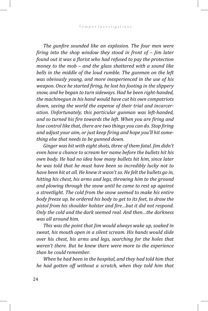*The gunfire sounded like an explosion. The four men were firing into the shop window they stood in front of – Jim later found out it was a florist who had refused to pay the protection money to the mob – and the glass shattered with a sound like bells in the middle of the loud rumble. The gunman on the left was obviously young, and more inexperienced in the use of his weapon. Once he started firing, he lost his footing in the slippery snow, and he began to turn sideways. Had he been right-handed, the machinegun in his hand would have cut his own compatriots down, saving the world the expense of their trial and incarceration. Unfortunately, this particular gunman was left-handed, and so turned his fire towards the left. When you are firing and lose control like that, there are two things you can do. Stop firing and adjust your aim, or just keep firing and hope you'll hit something else that needs to be gunned down.*

*Ginger was hit with eight shots, three of them fatal. Jim didn't even have a chance to scream her name before the bullets hit his own body. He had no idea how many bullets hit him, since later he was told that he must have been so incredibly lucky not to have been hit at all. He knew it wasn't so. He felt the bullets go in, hitting his chest, his arms and legs, throwing him to the ground and plowing through the snow until he came to rest up against a streetlight. The cold from the snow seemed to make his entire body freeze up, he ordered his body to get to its feet, to draw the pistol from his shoulder holster and fire…but it did not respond. Only the cold and the dark seemed real. And then…the darkness was all around him.*

*This was the point that Jim would always wake up, soaked in sweat, his mouth open in a silent scream. His hands would slide over his chest, his arms and legs, searching for the holes that weren't there. But he knew there were more to the experience than he could remember.*

*When he had been in the hospital, and they had told him that he had gotten off without a scratch, when they told him that*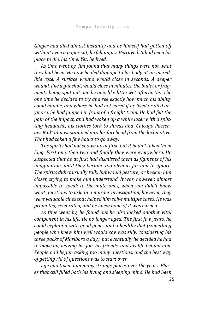*Ginger had died almost instantly and he himself had gotten off without even a paper cut, he felt angry. Betrayed. It had been his place to die, his time. Yet, he lived.*

*As time went by, Jim found that many things were not what they had been. He now healed damage to his body at an incredible rate. A surface wound would close in seconds. A deeper wound, like a gunshot, would close in minutes, the bullet or fragments being spat out one by one, like little wet afterbirths. The one time he decided to try and see exactly how much his ability could handle, and where he had not cared if he lived or died anymore, he had jumped in front of a freight train. He had felt the pain of the impact, and had woken up a while later with a splitting headache, his clothes torn to shreds and 'Chicago Passenger Rail" almost stamped into his forehead from the locomotive. That had taken a few hours to go away.*

*The spirits had not shown up at first, but it hadn't taken them long. First one, then two and finally they were everywhere. He suspected that he at first had dismissed them as figments of his imagination, until they became too obvious for him to ignore. The spirits didn't usually talk, but would gesture, or beckon him closer, trying to make him understand. It was, however, almost impossible to speak to the mute ones, when you didn't know what questions to ask. In a murder investigation, however, they were valuable clues that helped him solve multiple cases. He was promoted, celebrated, and he knew none of it was earned.* 

*As time went by, he found out he also lacked another vital component in his life. He no longer aged. The first few years, he could explain it with good genes and a healthy diet (something people who knew him well would say was silly, considering his three packs of Marlboro a day), but eventually he decided he had to move on, leaving his job, his friends, and his life behind him. People had begun asking too many questions, and the best way of getting rid of questions was to start over.*

*Life had taken him many strange places over the years. Places that still filled both his living and sleeping mind. He had been*